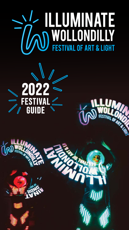# **ANGELIA SEPTEMBER 1997**

FESTIVAL OF ART

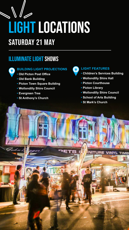## **lightlocations**

### saturday 21 May

### illuminate light shows



### **BUILDING LIGHT PROJECTIONS**

- **Old Picton Post Office**
- **Old Bank Building**
- **Picton Town Square Building**
- **Wollondilly Shire Council**
- **Evergreen Tree**
- **St Anthony's Church**

### **LIGHT FEATURES**

- **Children's Services Building**
- **Wollondilly Shire Hall**
- **Picton Courthouse**
- **Picton Library**
- **Wollondilly Shire Council**
- **School of Arts Building**
- **St Mark's Church**

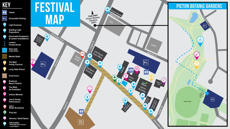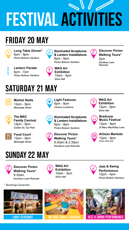### **festival activitIes**

### FRIDAY 20 May



**Long Table Dinner\*** 6pm - 9pm *Picton Botanic Gardens*



**Lantern Parade** 6pm - 7pm *Picton Botanic Gardens*

**Illuminated Sculptures**  $\bf \Phi$ **& Lantern Installations** 6pm - 9pm *Picton Botanic Gardens*



**WAG Art Exhibition** 10am - 4pm *Shire Hall*

### saturday 21 May



**Market Stalls** 12pm - 9pm *Menangle Street*



**The MAC Family Carnival** 12pm - 9pm *Colden St, Car Park*

YI

**Food Court** 12pm - 9pm *Menangle Street*



**Light Features** 6pm - 9pm *Various Locations*

**Illuminated Sculptures & Lantern Installations** 6pm - 9pm *Picton Botanic Gardens*

**Discover Picton Walking Tours\*** 9.30am & 2.30pm *Davidson Lane Rotunda*



**WAG Art Exhibition** 12pm - 9pm *Shire Hall*



**Bradcorp Music Festival**

**Discover Picton Walking Tours\***

2pm

*Davidson Lane Rotunda*

12pm - 9pm *St Mary MacKillop Lane*



**Artisan Markets** 12pm - 9pm *Picton Shire Hall*

### sunday 22 May



**Discover Picton Walking Tours\*** 9.30am *Davidson Lane Rotunda* **WAG Art Exhibition** 10am - 3pm *Shire Hall*

**Jazz & Swing Performance** 12pm - 4pm *Picton Botanic Gardens*

*\* Bookings Essential*





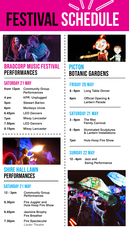## **festival Schedule**



### BradCorp MUSIC FESTIVAL PERFORMANCES

### SATURDAY 21 MAY

| from 12pm | <b>Community Group</b><br><b>Performances</b> |
|-----------|-----------------------------------------------|
| 4 pm      | <b>KPR Unplugged</b>                          |
| 5pm       | <b>Stewart Barton</b>                         |
| 6pm       | <b>Monkeys Uncle</b>                          |
| 6.45pm    | <b>LED Dancers</b>                            |
| 7pm       | <b>Missy Lancaster</b>                        |
| 7.50pm    | <b>LED Dancers</b>                            |
| 8.15pm    | <b>Missy Lancaster</b>                        |



### SHIRE HALL LAWN **PERFORMANCES**

### SATURDAY 21 MAY

| $12 - 3pm$ | <b>Community Group</b><br>Performances        |
|------------|-----------------------------------------------|
| 6.30pm     | Fire Juggler and<br>Hula Hoop Fire Show       |
| 6.45pm     | <b>Jasmine Brophy</b><br><b>Fire Breather</b> |
| 7.30pm     | <b>Fire Spectacular</b><br>Lieder Theatre     |



### **PICTON** botanic gardens

### FRIDAY 20 May

**6 - 9pm** Long Table Dinner **6pm** Official Opening &

### Lantern Parade

### saturday 21 May

- **3 9pm** The Mac Family Carnival
- **6 9pm** Illuminated Sculptures & Lantern Installations
- **7pm** Hula Hoop Fire Show

### sunday 22 May

**12 - 4pm** Jazz and Swing Performance